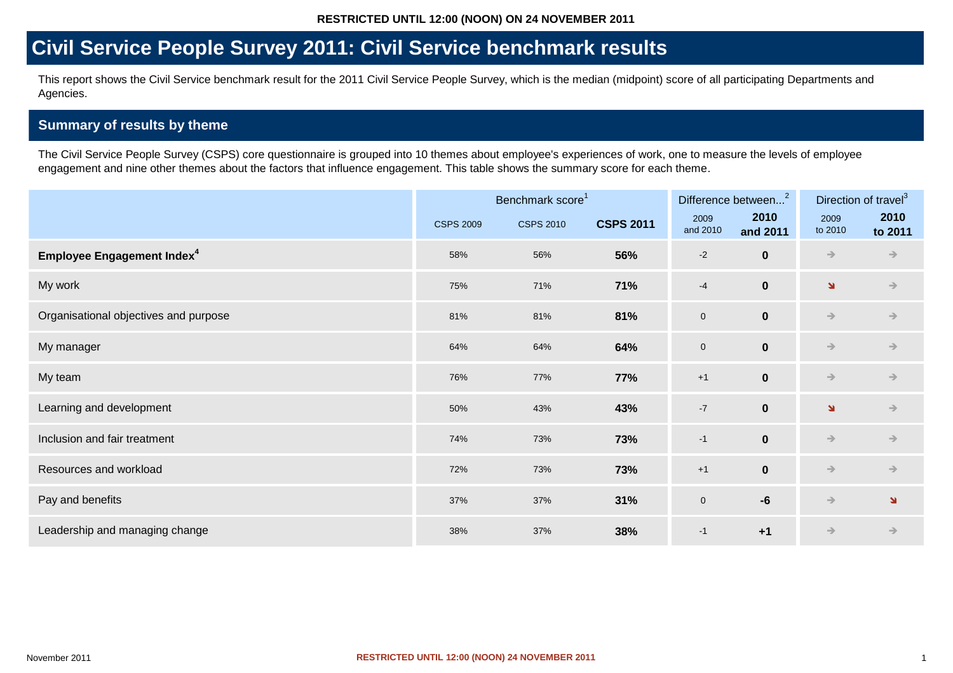This report shows the Civil Service benchmark result for the 2011 Civil Service People Survey, which is the median (midpoint) score of all participating Departments and Agencies.

#### **Summary of results by theme**

The Civil Service People Survey (CSPS) core questionnaire is grouped into 10 themes about employee's experiences of work, one to measure the levels of employee engagement and nine other themes about the factors that influence engagement. This table shows the summary score for each theme.

|                                              |                  | Benchmark score <sup>1</sup> |                  |                  | Difference between <sup>2</sup> | Direction of travel <sup>3</sup> |                         |
|----------------------------------------------|------------------|------------------------------|------------------|------------------|---------------------------------|----------------------------------|-------------------------|
|                                              | <b>CSPS 2009</b> | <b>CSPS 2010</b>             | <b>CSPS 2011</b> | 2009<br>and 2010 | 2010<br>and 2011                | 2009<br>to 2010                  | 2010<br>to 2011         |
| <b>Employee Engagement Index<sup>4</sup></b> | 58%              | 56%                          | 56%              | $-2$             | $\mathbf 0$                     | $\rightarrow$                    | $\Rightarrow$           |
| My work                                      | 75%              | 71%                          | 71%              | $-4$             | $\bf{0}$                        | $\overline{\mathbf{v}}$          | $\rightarrow$           |
| Organisational objectives and purpose        | 81%              | 81%                          | 81%              | $\overline{0}$   | $\mathbf 0$                     | $\rightarrow$                    | $\rightarrow$           |
| My manager                                   | 64%              | 64%                          | 64%              | $\mathbf 0$      | $\bf{0}$                        | $\rightarrow$                    | $\rightarrow$           |
| My team                                      | 76%              | 77%                          | 77%              | $+1$             | $\mathbf 0$                     | $\rightarrow$                    | $\rightarrow$           |
| Learning and development                     | 50%              | 43%                          | 43%              | $-7$             | $\mathbf 0$                     | $\blacktriangleleft$             | $\rightarrow$           |
| Inclusion and fair treatment                 | 74%              | 73%                          | 73%              | $-1$             | $\mathbf 0$                     | $\rightarrow$                    | $\rightarrow$           |
| Resources and workload                       | 72%              | 73%                          | 73%              | $+1$             | $\mathbf 0$                     | $\rightarrow$                    | $\rightarrow$           |
| Pay and benefits                             | 37%              | 37%                          | 31%              | $\mathbf 0$      | $-6$                            | $\rightarrow$                    | $\overline{\mathbf{v}}$ |
| Leadership and managing change               | 38%              | 37%                          | 38%              | $-1$             | $+1$                            | $\Rightarrow$                    | $\rightarrow$           |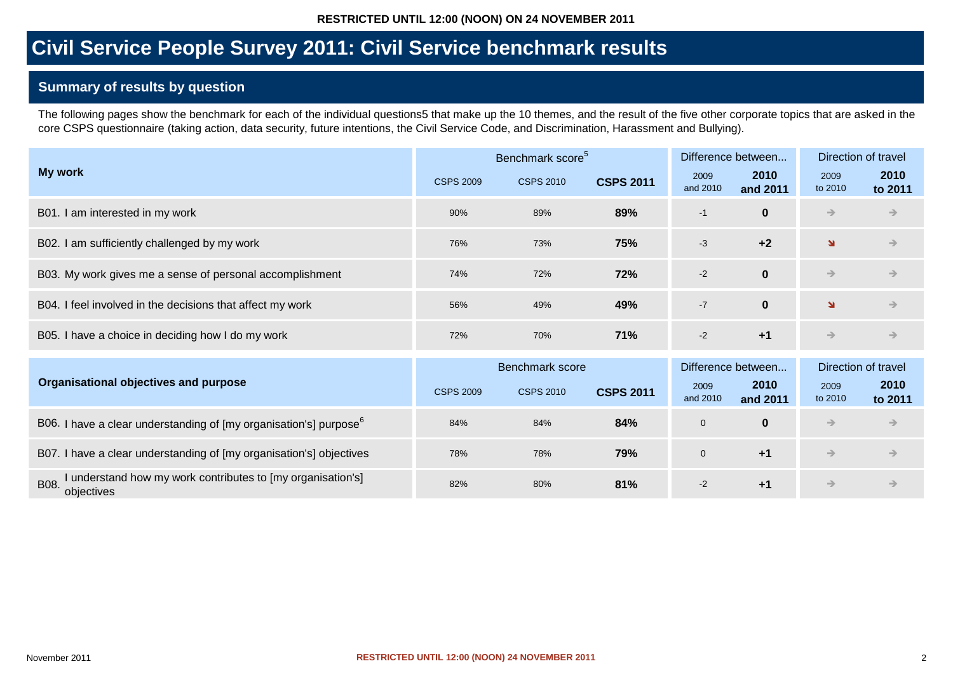#### **Summary of results by question**

The following pages show the benchmark for each of the individual questions5 that make up the 10 themes, and the result of the five other corporate topics that are asked in the core CSPS questionnaire (taking action, data security, future intentions, the Civil Service Code, and Discrimination, Harassment and Bullying).

|                                                                                   |                  | Benchmark score <sup>5</sup> |                  |                  | Difference between | Direction of travel |                     |
|-----------------------------------------------------------------------------------|------------------|------------------------------|------------------|------------------|--------------------|---------------------|---------------------|
| My work                                                                           | <b>CSPS 2009</b> | <b>CSPS 2010</b>             | <b>CSPS 2011</b> | 2009<br>and 2010 | 2010<br>and 2011   | 2009<br>to 2010     | 2010<br>to 2011     |
| B01. I am interested in my work                                                   | 90%              | 89%                          | 89%              | $-1$             | $\mathbf 0$        | $\rightarrow$       | $\rightarrow$       |
| B02. I am sufficiently challenged by my work                                      | 76%              | 73%                          | 75%              | $-3$             | $+2$               | ¥.                  | $\rightarrow$       |
| B03. My work gives me a sense of personal accomplishment                          | 74%              | 72%                          | 72%              | $-2$             | $\bf{0}$           | $\rightarrow$       | →                   |
| B04. I feel involved in the decisions that affect my work                         | 56%              | 49%                          | 49%              | $-7$             | $\bf{0}$           | ¥.                  | $\rightarrow$       |
| B05. I have a choice in deciding how I do my work                                 | 72%              | 70%                          | 71%              | $-2$             | $+1$               | $\rightarrow$       | $\rightarrow$       |
|                                                                                   |                  | Benchmark score              |                  |                  | Difference between |                     | Direction of travel |
| Organisational objectives and purpose                                             | <b>CSPS 2009</b> | <b>CSPS 2010</b>             | <b>CSPS 2011</b> | 2009<br>and 2010 | 2010<br>and 2011   | 2009<br>to 2010     | 2010<br>to 2011     |
| B06. I have a clear understanding of [my organisation's] purpose <sup>6</sup>     | 84%              | 84%                          | 84%              | $\boldsymbol{0}$ | $\mathbf 0$        | $\rightarrow$       | $\rightarrow$       |
| B07. I have a clear understanding of [my organisation's] objectives               | 78%              | 78%                          | 79%              | $\mathbf 0$      | $+1$               | $\rightarrow$       | $\rightarrow$       |
| I understand how my work contributes to [my organisation's]<br>B08.<br>objectives | 82%              | 80%                          | 81%              | $-2$             | $+1$               | $\rightarrow$       | $\rightarrow$       |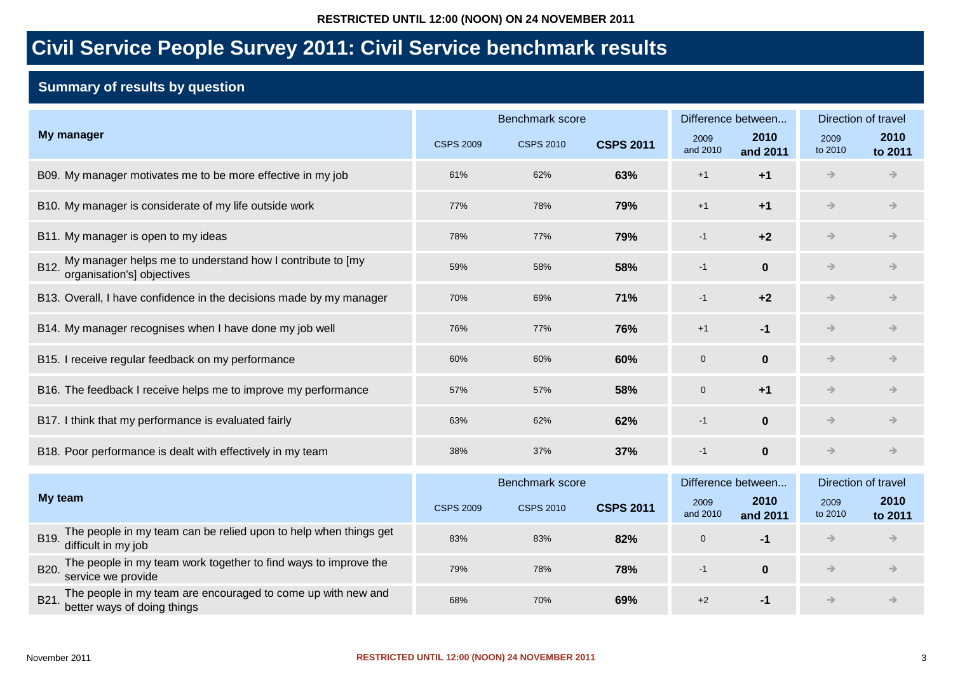|                                                                                                     |                  | Benchmark score  |                  |                  | Difference between | Direction of travel |                     |
|-----------------------------------------------------------------------------------------------------|------------------|------------------|------------------|------------------|--------------------|---------------------|---------------------|
| My manager                                                                                          | <b>CSPS 2009</b> | <b>CSPS 2010</b> | <b>CSPS 2011</b> | 2009<br>and 2010 | 2010<br>and 2011   | 2009<br>to 2010     | 2010<br>to 2011     |
| B09. My manager motivates me to be more effective in my job                                         | 61%              | 62%              | 63%              | $+1$             | $+1$               | $\rightarrow$       | →                   |
| B10. My manager is considerate of my life outside work                                              | 77%              | 78%              | 79%              | $+1$             | $+1$               | $\rightarrow$       | $\rightarrow$       |
| B11. My manager is open to my ideas                                                                 | 78%              | 77%              | 79%              | $-1$             | $+2$               | $\rightarrow$       | →                   |
| My manager helps me to understand how I contribute to [my<br>B12.<br>organisation's] objectives     | 59%              | 58%              | 58%              | $-1$             | $\bf{0}$           | $\rightarrow$       | $\rightarrow$       |
| B13. Overall, I have confidence in the decisions made by my manager                                 | 70%              | 69%              | 71%              | $-1$             | $+2$               | $\rightarrow$       | $\rightarrow$       |
| B14. My manager recognises when I have done my job well                                             | 76%              | 77%              | 76%              | $+1$             | $-1$               | $\rightarrow$       | $\rightarrow$       |
| B15. I receive regular feedback on my performance                                                   | 60%              | 60%              | 60%              | $\mathbf 0$      | $\bf{0}$           | $\rightarrow$       | $\rightarrow$       |
| B16. The feedback I receive helps me to improve my performance                                      | 57%              | 57%              | 58%              | $\mathbf 0$      | $+1$               | $\rightarrow$       | $\rightarrow$       |
| B17. I think that my performance is evaluated fairly                                                | 63%              | 62%              | 62%              | $-1$             | $\bf{0}$           | $\rightarrow$       | $\rightarrow$       |
| B18. Poor performance is dealt with effectively in my team                                          | 38%              | 37%              | 37%              | $-1$             | $\bf{0}$           | $\rightarrow$       | $\rightarrow$       |
|                                                                                                     |                  | Benchmark score  |                  |                  | Difference between |                     | Direction of travel |
| My team                                                                                             | <b>CSPS 2009</b> | <b>CSPS 2010</b> | <b>CSPS 2011</b> | 2009<br>and 2010 | 2010<br>and 2011   | 2009<br>to 2010     | 2010<br>to 2011     |
| The people in my team can be relied upon to help when things get<br>B19.<br>difficult in my job     | 83%              | 83%              | 82%              | $\mathbf 0$      | -1                 | $\rightarrow$       | $\rightarrow$       |
| The people in my team work together to find ways to improve the<br>B20.<br>service we provide       | 79%              | 78%              | 78%              | $-1$             | $\bf{0}$           | $\rightarrow$       | $\rightarrow$       |
| The people in my team are encouraged to come up with new and<br>B21.<br>better ways of doing things | 68%              | 70%              | 69%              | $+2$             | -1                 | $\rightarrow$       |                     |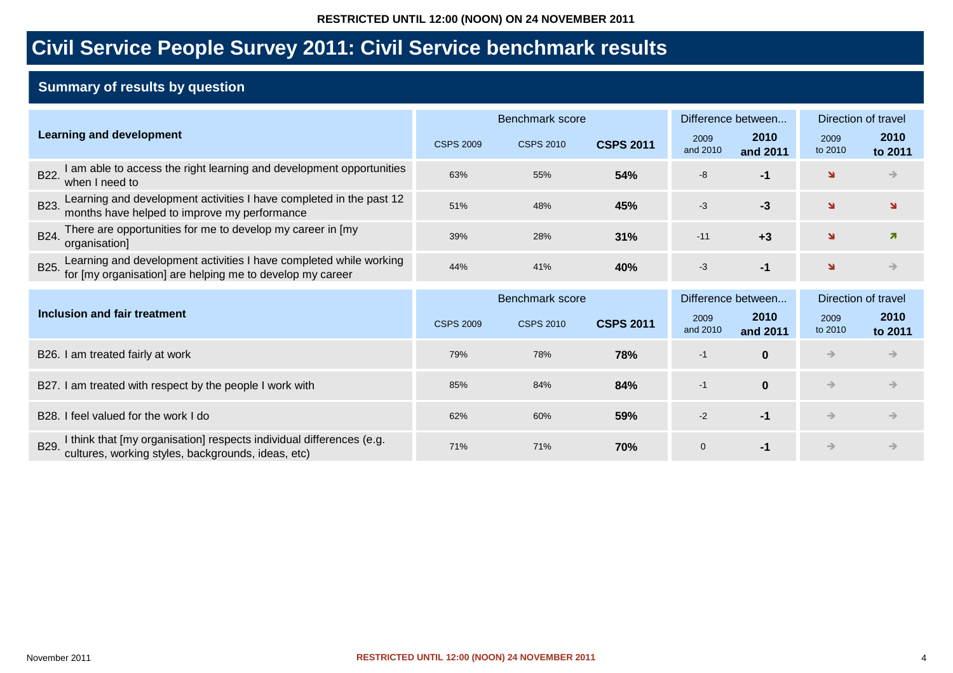|                                                                                                                                         | Benchmark score  |                  | Difference between | Direction of travel |                    |                         |                         |
|-----------------------------------------------------------------------------------------------------------------------------------------|------------------|------------------|--------------------|---------------------|--------------------|-------------------------|-------------------------|
| <b>Learning and development</b>                                                                                                         | <b>CSPS 2009</b> | <b>CSPS 2010</b> | <b>CSPS 2011</b>   | 2009<br>and 2010    | 2010<br>and 2011   | 2009<br>to 2010         | 2010<br>to 2011         |
| I am able to access the right learning and development opportunities<br><b>B22</b><br>when I need to                                    | 63%              | 55%              | 54%                | $-8$                | $-1$               | $\overline{\mathbf{v}}$ | $\rightarrow$           |
| Learning and development activities I have completed in the past 12 months have helped to improve my performance<br>B23.                | 51%              | 48%              | 45%                | $-3$                | $-3$               | N                       | N                       |
| There are opportunities for me to develop my career in [my<br>B24.<br>organisation]                                                     | 39%              | 28%              | 31%                | $-11$               | $+3$               | N                       | $\overline{\mathbf{z}}$ |
| Learning and development activities I have completed while working<br>for [my organisation] are helping me to develop my career<br>B25. | 44%              | 41%              | 40%                | $-3$                | -1                 | N                       | →                       |
|                                                                                                                                         |                  |                  |                    |                     |                    |                         |                         |
|                                                                                                                                         |                  | Benchmark score  |                    |                     | Difference between |                         | Direction of travel     |
| <b>Inclusion and fair treatment</b>                                                                                                     | <b>CSPS 2009</b> | <b>CSPS 2010</b> | <b>CSPS 2011</b>   | 2009<br>and 2010    | 2010<br>and 2011   | 2009<br>to 2010         | 2010<br>to 2011         |
| B26. I am treated fairly at work                                                                                                        | 79%              | 78%              | 78%                | $-1$                | $\bf{0}$           | $\rightarrow$           | $\rightarrow$           |
| B27. I am treated with respect by the people I work with                                                                                | 85%              | 84%              | 84%                | $-1$                | $\mathbf{0}$       | $\rightarrow$           | $\rightarrow$           |
| I feel valued for the work I do<br>B <sub>28</sub> .                                                                                    | 62%              | 60%              | 59%                | $-2$                | $-1$               | $\rightarrow$           |                         |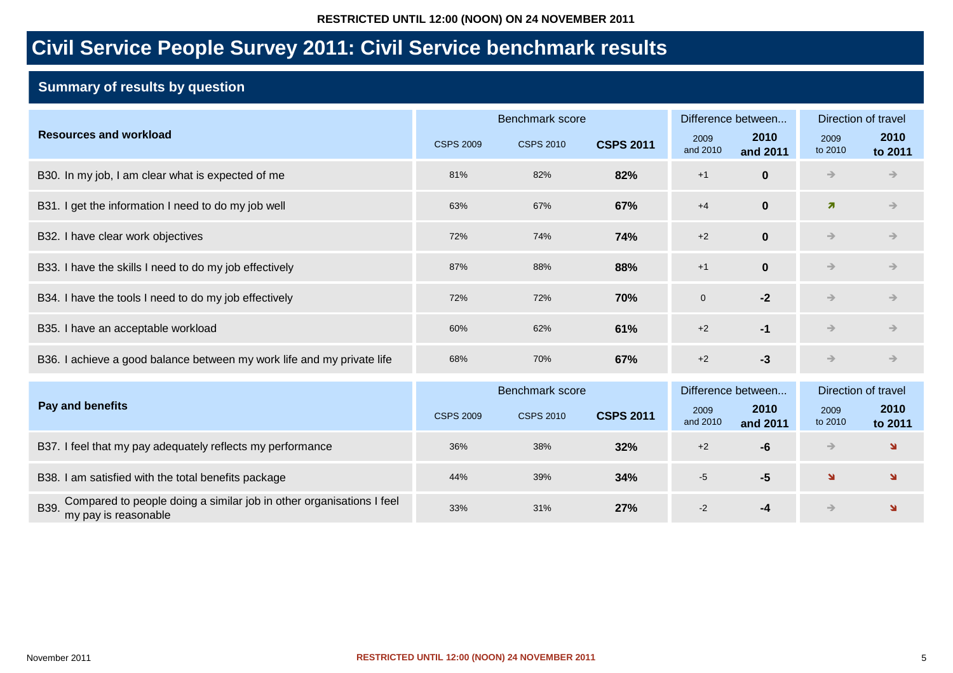|                                                                                                      | Benchmark score  |                  | Difference between | Direction of travel |                    |                         |                 |
|------------------------------------------------------------------------------------------------------|------------------|------------------|--------------------|---------------------|--------------------|-------------------------|-----------------|
| <b>Resources and workload</b>                                                                        | <b>CSPS 2009</b> | <b>CSPS 2010</b> | <b>CSPS 2011</b>   | 2009<br>and 2010    | 2010<br>and 2011   | 2009<br>to 2010         | 2010<br>to 2011 |
| B30. In my job, I am clear what is expected of me                                                    | 81%              | 82%              | 82%                | $+1$                | $\mathbf 0$        | $\rightarrow$           | →               |
| B31. I get the information I need to do my job well                                                  | 63%              | 67%              | 67%                |                     | $\mathbf 0$        | $\overline{\mathbf{z}}$ | →               |
| B32. I have clear work objectives                                                                    | 72%              | 74%<br>74%       |                    | $+2$                | $\bf{0}$           | $\rightarrow$           | →               |
| B33. I have the skills I need to do my job effectively                                               | 87%              | 88%              | 88%                | $+1$                | $\mathbf 0$        | $\rightarrow$           | $\rightarrow$   |
| B34. I have the tools I need to do my job effectively                                                | 72%              | 72%              | 70%                | $\mathbf 0$         | $-2$               | $\rightarrow$           | →               |
| B35. I have an acceptable workload                                                                   | 60%              | 62%              | 61%                | $+2$                | $-1$               | →                       | $\rightarrow$   |
| I achieve a good balance between my work life and my private life<br>B36.                            | 68%              | 70%              | 67%                | $+2$                | $-3$               | $\rightarrow$           | →               |
|                                                                                                      |                  | Benchmark score  |                    |                     | Difference between | Direction of travel     |                 |
| Pay and benefits                                                                                     | <b>CSPS 2009</b> | <b>CSPS 2010</b> | <b>CSPS 2011</b>   | 2009<br>and 2010    | 2010<br>and 2011   | 2009<br>to 2010         | 2010<br>to 2011 |
| B37. I feel that my pay adequately reflects my performance                                           | 36%              | 38%              | 32%                | $+2$                | -6                 | $\rightarrow$           | ¥.              |
| B38. I am satisfied with the total benefits package                                                  | 44%              | 39%              | 34%                | $-5$                | $-5$               | N                       | ¥.              |
| Compared to people doing a similar job in other organisations I feel<br>B39.<br>my pay is reasonable | 33%              | 31%              | 27%                | $-2$                | -4                 | $\rightarrow$           | ¥               |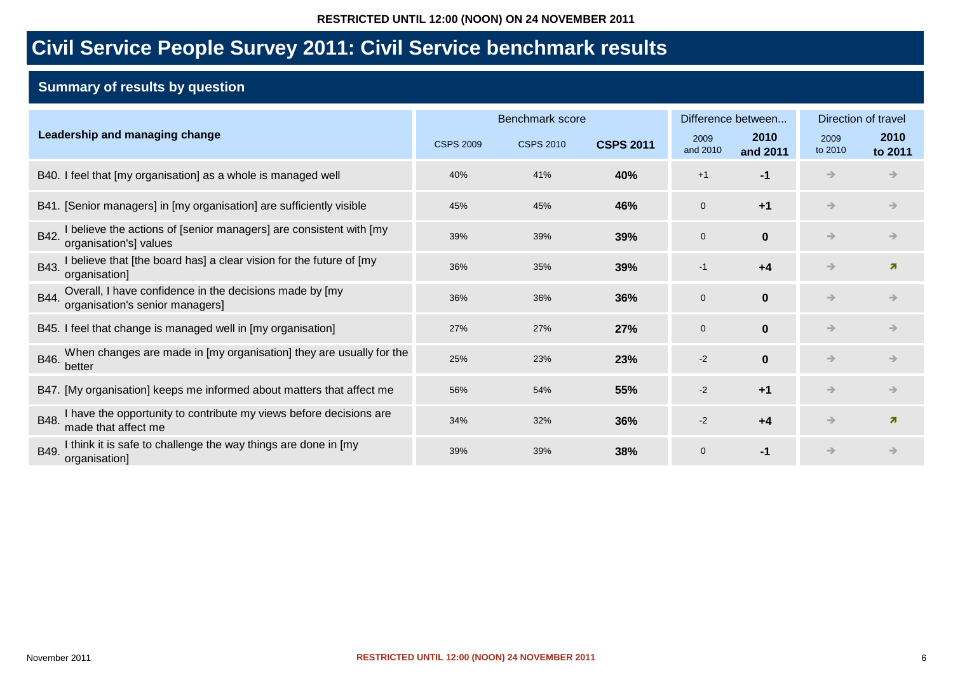|                                                                                                      | Benchmark score  |                  | Difference between | Direction of travel |                  |                 |                         |
|------------------------------------------------------------------------------------------------------|------------------|------------------|--------------------|---------------------|------------------|-----------------|-------------------------|
| Leadership and managing change                                                                       | <b>CSPS 2009</b> | <b>CSPS 2010</b> | <b>CSPS 2011</b>   | 2009<br>and 2010    | 2010<br>and 2011 | 2009<br>to 2010 | 2010<br>to 2011         |
| B40. I feel that [my organisation] as a whole is managed well                                        | 40%              | 41%              | 40%                | $+1$                | -1               | $\rightarrow$   | $\rightarrow$           |
| B41. [Senior managers] in [my organisation] are sufficiently visible                                 | 45%              | 45%              | 46%                | $\mathbf 0$         | $+1$             | $\rightarrow$   | $\rightarrow$           |
| I believe the actions of [senior managers] are consistent with [my<br>B42.<br>organisation's] values | 39%              | 39%              | 39%                | 0                   | $\bf{0}$         | $\rightarrow$   |                         |
| I believe that [the board has] a clear vision for the future of [my<br>B43.<br>organisation]         | 36%              | 35%              | 39%                | $-1$                | $+4$             | $\rightarrow$   | $\overline{\mathbf{z}}$ |
| Overall, I have confidence in the decisions made by [my organisation's senior managers]<br>B44.      | 36%              | 36%              | 36%                | $\mathbf 0$         | $\bf{0}$         | $\rightarrow$   |                         |
| B45. I feel that change is managed well in [my organisation]                                         | 27%              | 27%              | 27%                | $\mathbf 0$         | $\mathbf 0$      | $\rightarrow$   | →                       |
| When changes are made in [my organisation] they are usually for the<br>B46.<br>better                | 25%              | 23%              | 23%                | $-2$                | $\bf{0}$         | $\rightarrow$   |                         |
| B47. [My organisation] keeps me informed about matters that affect me                                | 56%              | 54%              | 55%                | $-2$                | $+1$             | $\rightarrow$   |                         |
| I have the opportunity to contribute my views before decisions are<br>B48.<br>made that affect me    | 34%              | 32%              | 36%                | $-2$                | $+4$             | $\rightarrow$   | $\overline{\mathbf{z}}$ |
| I think it is safe to challenge the way things are done in [my<br>B49.<br>organisation]              | 39%              | 39%              | 38%                | $\mathbf 0$         | -1               | $\rightarrow$   | →                       |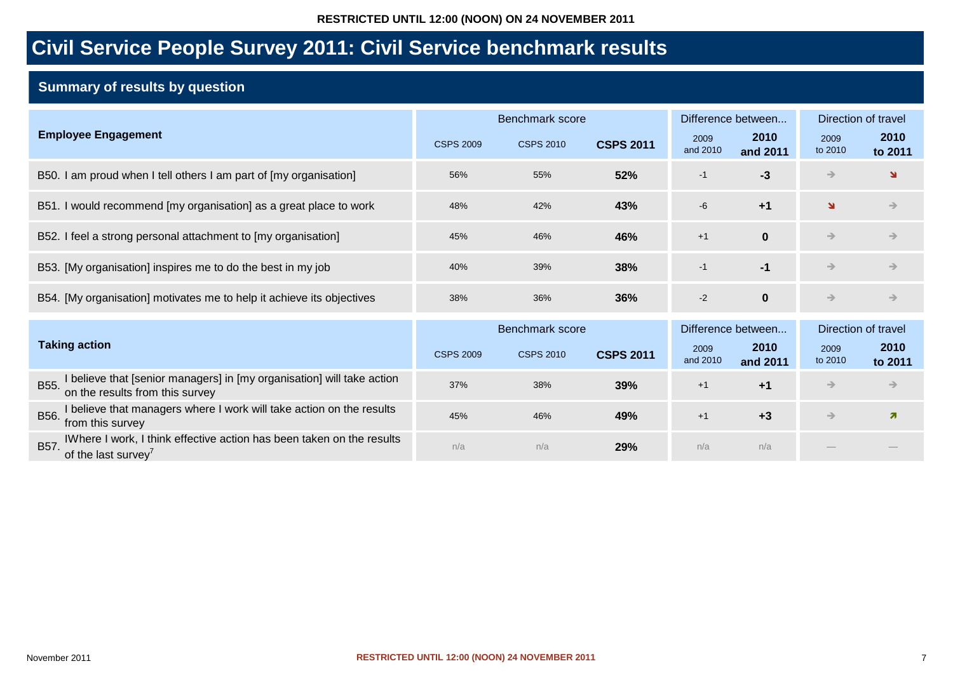|                                                                       | Benchmark score | Difference between                   |     | Direction of travel |                  |                 |                 |
|-----------------------------------------------------------------------|-----------------|--------------------------------------|-----|---------------------|------------------|-----------------|-----------------|
| <b>Employee Engagement</b>                                            | CSPS 2009       | <b>CSPS 2011</b><br><b>CSPS 2010</b> |     | 2009<br>and 2010    | 2010<br>and 2011 | 2009<br>to 2010 | 2010<br>to 2011 |
| B50. I am proud when I tell others I am part of [my organisation]     | 56%             | 55%                                  | 52% | $-1$                | $-3$             | $\rightarrow$   | N               |
| B51. I would recommend [my organisation] as a great place to work     | 48%             | 42%                                  | 43% | $-6$                | $+1$             | N               | $\rightarrow$   |
| B52. I feel a strong personal attachment to [my organisation]         | 45%             | 46%                                  | 46% | $+1$                | $\bf{0}$         | $\rightarrow$   | $\rightarrow$   |
| B53. [My organisation] inspires me to do the best in my job           | 40%             | 39%                                  | 38% | $-1$                | -1               | $\rightarrow$   | $\rightarrow$   |
| B54. [My organisation] motivates me to help it achieve its objectives | 38%             | 36%                                  | 36% | $-2$                | $\bf{0}$         | $\rightarrow$   | $\rightarrow$   |

|                                                                                                                   | Benchmark score                                   | Difference between |                  | Direction of travel |                 |                 |  |
|-------------------------------------------------------------------------------------------------------------------|---------------------------------------------------|--------------------|------------------|---------------------|-----------------|-----------------|--|
| <b>Taking action</b>                                                                                              | <b>CSPS 2011</b><br><b>CSPS 2010</b><br>CSPS 2009 |                    | 2009<br>and 2010 | 2010<br>and 2011    | 2009<br>to 2010 | 2010<br>to 2011 |  |
| I believe that [senior managers] in [my organisation] will take action<br>on the results from this survey<br>B55. | 37%                                               | 38%                | 39%              | $+1$                | +1              | $\Rightarrow$   |  |
| I believe that managers where I work will take action on the results<br>B56.<br>from this survey                  | 45%                                               | 46%                | 49%              | $+1$                | $+3$            |                 |  |
| IWhere I work, I think effective action has been taken on the results<br><b>B57</b><br>of the last survey'        | n/a                                               | n/a                | 29%              | n/a                 | n/a             |                 |  |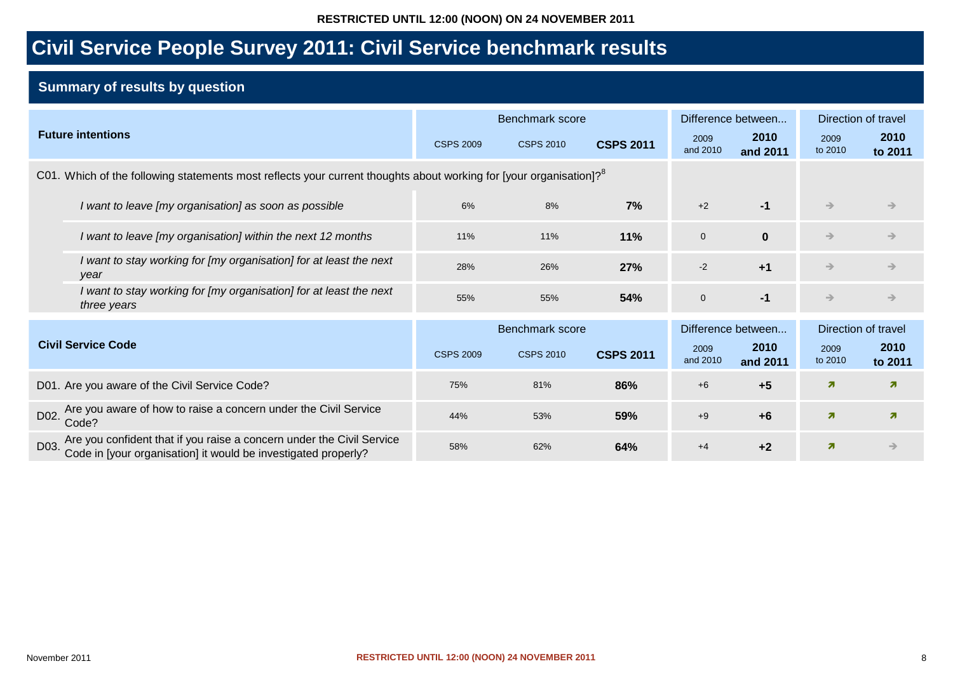|      |                                                                                                                                         | Benchmark score  |                  | Difference between | Direction of travel |                    |                         |                         |  |
|------|-----------------------------------------------------------------------------------------------------------------------------------------|------------------|------------------|--------------------|---------------------|--------------------|-------------------------|-------------------------|--|
|      | <b>Future intentions</b>                                                                                                                | <b>CSPS 2009</b> | <b>CSPS 2010</b> | <b>CSPS 2011</b>   | 2009<br>and 2010    | 2010<br>and 2011   | 2009<br>to 2010         | 2010<br>to 2011         |  |
|      | C01. Which of the following statements most reflects your current thoughts about working for [your organisation]? <sup>8</sup>          |                  |                  |                    |                     |                    |                         |                         |  |
|      | I want to leave [my organisation] as soon as possible                                                                                   | 6%               | 8%               | 7%                 | $+2$                | $-1$               | $\rightarrow$           | →                       |  |
|      | I want to leave [my organisation] within the next 12 months                                                                             | 11%              | 11%              | 11%                | $\mathbf 0$         | $\bf{0}$           | →                       | →                       |  |
|      | I want to stay working for [my organisation] for at least the next<br>year                                                              | 28%              | 26%              | 27%                | $-2$                | $+1$               | $\rightarrow$           | $\rightarrow$           |  |
|      | I want to stay working for [my organisation] for at least the next<br>three years                                                       | 55%              | 55%              | 54%                | $\mathbf 0$         | $-1$               | $\rightarrow$           | $\rightarrow$           |  |
|      |                                                                                                                                         | Benchmark score  |                  |                    |                     | Difference between | Direction of travel     |                         |  |
|      | <b>Civil Service Code</b>                                                                                                               | <b>CSPS 2009</b> | <b>CSPS 2010</b> | <b>CSPS 2011</b>   | 2009<br>and 2010    | 2010<br>and 2011   | 2009<br>to 2010         | 2010<br>to 2011         |  |
|      | D01. Are you aware of the Civil Service Code?                                                                                           | 75%              | 81%              | 86%                | $+6$                | $+5$               | $\overline{\mathbf{z}}$ | $\overline{\mathbf{z}}$ |  |
| D02. | Are you aware of how to raise a concern under the Civil Service<br>Code?                                                                | 44%              | 53%              | 59%                | $+9$                | $+6$               | $\overline{\mathbf{z}}$ | $\overline{\mathbf{z}}$ |  |
| D03. | Are you confident that if you raise a concern under the Civil Service<br>Code in [your organisation] it would be investigated properly? | 58%              | 62%              | 64%                | $+4$                | $+2$               | $\overline{\mathbf{z}}$ | →                       |  |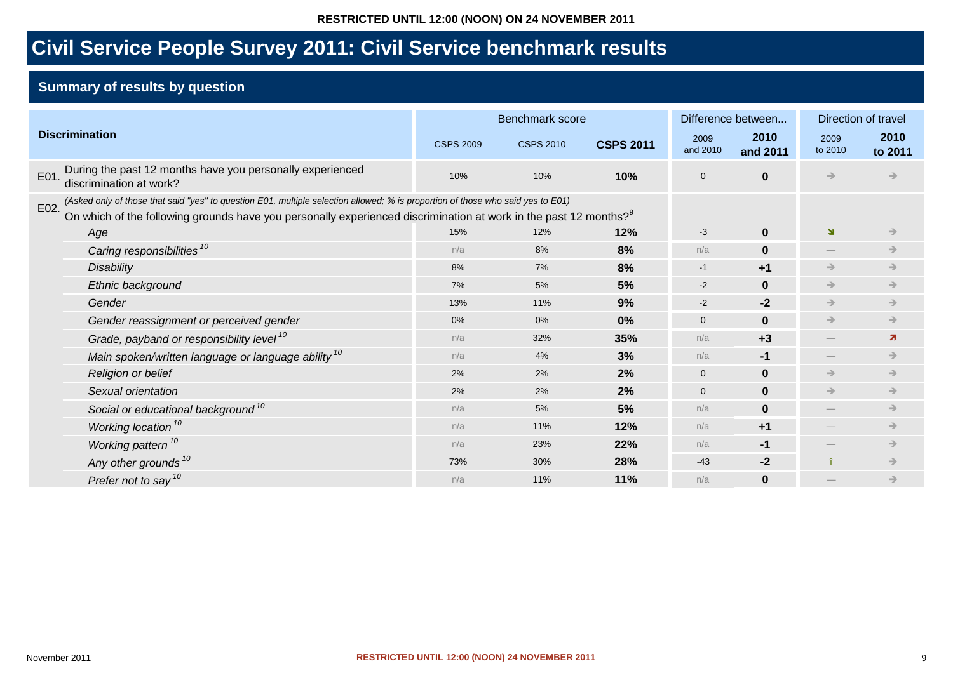|                                                                                                                                         | Benchmark score  |                  | Difference between | Direction of travel |                  |                 |                    |
|-----------------------------------------------------------------------------------------------------------------------------------------|------------------|------------------|--------------------|---------------------|------------------|-----------------|--------------------|
| <b>Discrimination</b>                                                                                                                   | <b>CSPS 2009</b> | <b>CSPS 2010</b> | <b>CSPS 2011</b>   | 2009<br>and 2010    | 2010<br>and 2011 | 2009<br>to 2010 | 2010<br>to 2011    |
| During the past 12 months have you personally experienced<br>E01.<br>discrimination at work?                                            | 10%              | 10%              | 10%                | $\mathbf 0$         | $\bf{0}$         | $\rightarrow$   | $\rightarrow$      |
| (Asked only of those that said "yes" to question E01, multiple selection allowed; % is proportion of those who said yes to E01)<br>E02. |                  |                  |                    |                     |                  |                 |                    |
| On which of the following grounds have you personally experienced discrimination at work in the past 12 months? <sup>9</sup>            |                  |                  |                    |                     |                  |                 |                    |
| Age                                                                                                                                     | 15%              | 12%              | 12%                | $-3$                | $\bf{0}$         | N               | $\rightarrow$      |
| Caring responsibilities <sup>10</sup>                                                                                                   | n/a              | 8%               | 8%                 | n/a                 | $\bf{0}$         |                 | $\rightarrow$      |
| <b>Disability</b>                                                                                                                       | 8%               | 7%               | 8%                 | $-1$                | $+1$             | $\rightarrow$   | $\rightarrow$      |
| Ethnic background                                                                                                                       | 7%               | 5%               | 5%                 | $-2$                | $\mathbf{0}$     | $\rightarrow$   | $\rightarrow$      |
| Gender                                                                                                                                  | 13%              | 11%              | 9%                 | $-2$                | $-2$             | $\rightarrow$   | $\rightarrow$      |
| Gender reassignment or perceived gender                                                                                                 | 0%               | 0%               | 0%                 | $\overline{0}$      | $\bf{0}$         | $\rightarrow$   | $\rightarrow$      |
| Grade, payband or responsibility level <sup>10</sup>                                                                                    | n/a              | 32%              | 35%                | n/a                 | $+3$             |                 | $\boldsymbol{\pi}$ |
| Main spoken/written language or language ability <sup>10</sup>                                                                          | n/a              | 4%               | 3%                 | n/a                 | -1               |                 | $\rightarrow$      |
| Religion or belief                                                                                                                      | 2%               | 2%               | 2%                 | $\mathbf{0}$        | $\bf{0}$         | $\rightarrow$   | $\rightarrow$      |
| Sexual orientation                                                                                                                      | 2%               | 2%               | 2%                 | $\mathbf 0$         | $\mathbf 0$      | $\rightarrow$   | $\rightarrow$      |
| Social or educational background <sup>10</sup>                                                                                          | n/a              | 5%               | 5%                 | n/a                 | $\mathbf{0}$     |                 | $\rightarrow$      |
| Working location <sup>10</sup>                                                                                                          | n/a              | 11%              | 12%                | n/a                 | $+1$             |                 | $\rightarrow$      |
| Working pattern <sup>10</sup>                                                                                                           | n/a              | 23%              | 22%                | n/a                 | $-1$             |                 | $\rightarrow$      |
| Any other grounds <sup>10</sup>                                                                                                         | 73%              | 30%              | 28%                | $-43$               | $-2$             |                 | $\rightarrow$      |
| Prefer not to say $10$                                                                                                                  | n/a              | 11%              | 11%                | n/a                 | $\bf{0}$         |                 | $\rightarrow$      |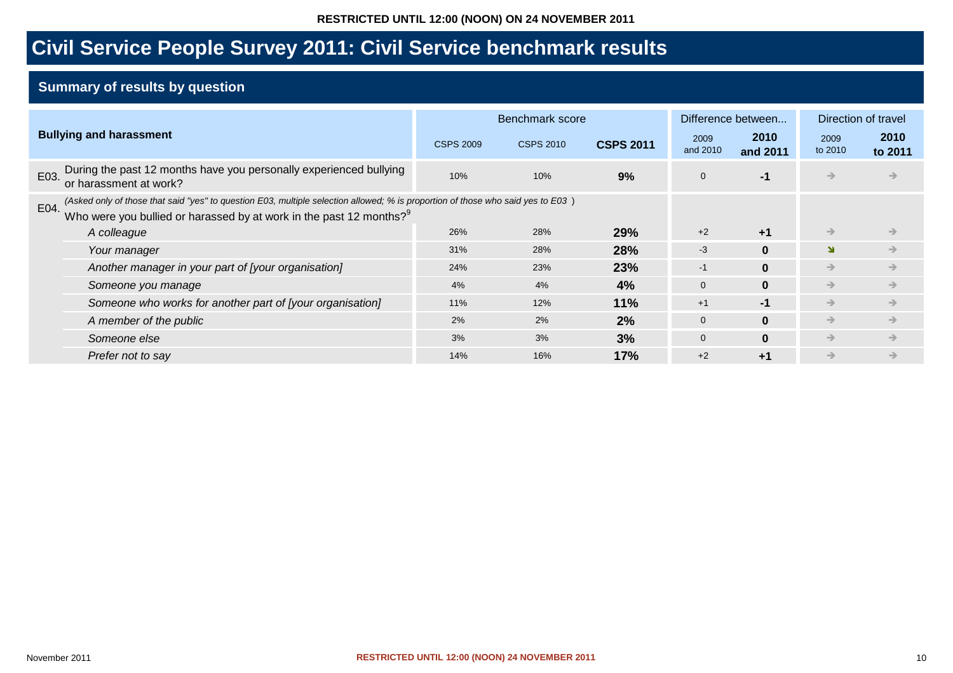|                                                                                                                                                                                                                            | Benchmark score                                          | Difference between |                  | Direction of travel |                 |                 |               |
|----------------------------------------------------------------------------------------------------------------------------------------------------------------------------------------------------------------------------|----------------------------------------------------------|--------------------|------------------|---------------------|-----------------|-----------------|---------------|
| <b>Bullying and harassment</b>                                                                                                                                                                                             | <b>CSPS 2010</b><br><b>CSPS 2009</b><br><b>CSPS 2011</b> |                    | 2009<br>and 2010 | 2010<br>and 2011    | 2009<br>to 2010 | 2010<br>to 2011 |               |
| During the past 12 months have you personally experienced bullying<br>E03.<br>or harassment at work?                                                                                                                       | 10%                                                      | 10%                | 9%               | $\mathbf 0$         | -1              | $\rightarrow$   | →             |
| (Asked only of those that said "yes" to question E03, multiple selection allowed; % is proportion of those who said yes to E03)<br>E04.<br>Who were you bullied or harassed by at work in the past 12 months? <sup>9</sup> |                                                          |                    |                  |                     |                 |                 |               |
| A colleague                                                                                                                                                                                                                | 26%                                                      | 28%                | 29%              | $+2$                | $+1$            | $\rightarrow$   | $\rightarrow$ |
| Your manager                                                                                                                                                                                                               | 31%                                                      | 28%                | 28%              | $-3$                | $\bf{0}$        | Ľ               | $\rightarrow$ |
| Another manager in your part of [your organisation]                                                                                                                                                                        | 24%                                                      | 23%                | 23%              | $-1$                | $\mathbf{0}$    | $\rightarrow$   | $\rightarrow$ |
| Someone you manage                                                                                                                                                                                                         | 4%                                                       | 4%                 | 4%               | $\overline{0}$      | $\bf{0}$        | $\rightarrow$   | $\rightarrow$ |
| Someone who works for another part of [your organisation]                                                                                                                                                                  | 11%                                                      | 12%                | 11%              | $+1$                | $-1$            | $\rightarrow$   | $\rightarrow$ |
| A member of the public                                                                                                                                                                                                     | 2%                                                       | 2%                 | 2%               | $\overline{0}$      | $\mathbf{0}$    | $\rightarrow$   | $\rightarrow$ |
| Someone else                                                                                                                                                                                                               | 3%                                                       | 3%                 | 3%               | $\Omega$            | $\mathbf{0}$    | $\rightarrow$   | $\rightarrow$ |
| Prefer not to say                                                                                                                                                                                                          | 14%                                                      | 16%                | 17%              | $+2$                | $+1$            | →               |               |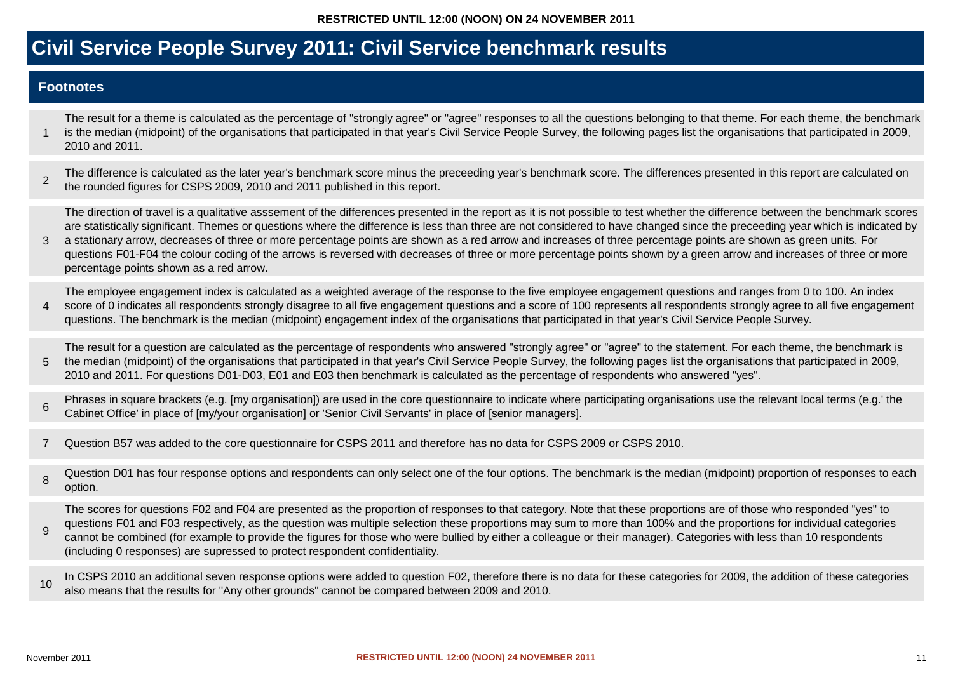#### **Footnotes**

1

4

5

The result for a theme is calculated as the percentage of "strongly agree" or "agree" responses to all the questions belonging to that theme. For each theme, the benchmark is the median (midpoint) of the organisations that participated in that year's Civil Service People Survey, the following pages list the organisations that participated in 2009, 2010 and 2011.

2 The difference is calculated as the later year's benchmark score minus the preceeding year's benchmark score. The differences presented in this report are calculated on the rounded figures for CSPS 2009, 2010 and 2011 published in this report.

The direction of travel is a qualitative asssement of the differences presented in the report as it is not possible to test whether the difference between the benchmark scores are statistically significant. Themes or questions where the difference is less than three are not considered to have changed since the preceeding year which is indicated by

3 a stationary arrow, decreases of three or more percentage points are shown as a red arrow and increases of three percentage points are shown as green units. For questions F01-F04 the colour coding of the arrows is reversed with decreases of three or more percentage points shown by a green arrow and increases of three or more percentage points shown as a red arrow.

The employee engagement index is calculated as a weighted average of the response to the five employee engagement questions and ranges from 0 to 100. An index score of 0 indicates all respondents strongly disagree to all five engagement questions and a score of 100 represents all respondents strongly agree to all five engagement questions. The benchmark is the median (midpoint) engagement index of the organisations that participated in that year's Civil Service People Survey.

The result for a question are calculated as the percentage of respondents who answered "strongly agree" or "agree" to the statement. For each theme, the benchmark is the median (midpoint) of the organisations that participated in that year's Civil Service People Survey, the following pages list the organisations that participated in 2009,

2010 and 2011. For questions D01-D03, E01 and E03 then benchmark is calculated as the percentage of respondents who answered "yes".

6 Phrases in square brackets (e.g. [my organisation]) are used in the core questionnaire to indicate where participating organisations use the relevant local terms (e.g.' the Cabinet Office' in place of [my/your organisation] or 'Senior Civil Servants' in place of [senior managers].

- 7 Question B57 was added to the core questionnaire for CSPS 2011 and therefore has no data for CSPS 2009 or CSPS 2010.
- 8 Question D01 has four response options and respondents can only select one of the four options. The benchmark is the median (midpoint) proportion of responses to each option.

9 The scores for questions F02 and F04 are presented as the proportion of responses to that category. Note that these proportions are of those who responded "yes" to questions F01 and F03 respectively, as the question was multiple selection these proportions may sum to more than 100% and the proportions for individual categories cannot be combined (for example to provide the figures for those who were bullied by either a colleague or their manager). Categories with less than 10 respondents (including 0 responses) are supressed to protect respondent confidentiality.

10 In CSPS 2010 an additional seven response options were added to question F02, therefore there is no data for these categories for 2009, the addition of these categories also means that the results for "Any other grounds" cannot be compared between 2009 and 2010.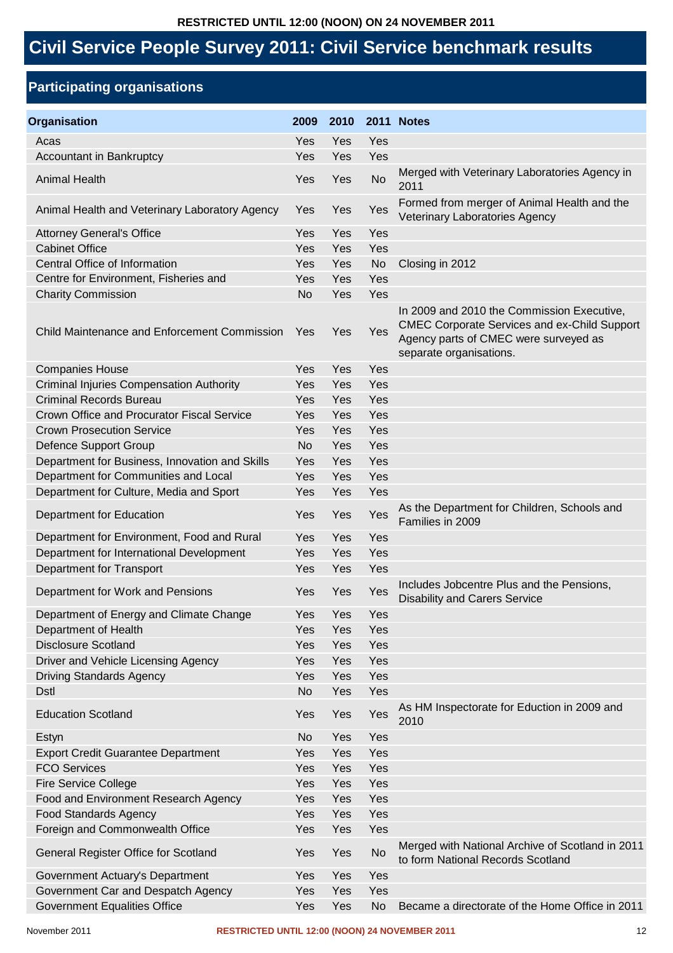### **Participating organisations**

| Organisation                                        | 2009       | 2010 |           | 2011 Notes                                                                                                                                                            |
|-----------------------------------------------------|------------|------|-----------|-----------------------------------------------------------------------------------------------------------------------------------------------------------------------|
| Acas                                                | Yes        | Yes  | Yes       |                                                                                                                                                                       |
| Accountant in Bankruptcy                            | Yes        | Yes  | Yes       |                                                                                                                                                                       |
| <b>Animal Health</b>                                | Yes        | Yes  | No        | Merged with Veterinary Laboratories Agency in<br>2011                                                                                                                 |
| Animal Health and Veterinary Laboratory Agency      | Yes        | Yes  | Yes       | Formed from merger of Animal Health and the<br>Veterinary Laboratories Agency                                                                                         |
| <b>Attorney General's Office</b>                    | Yes        | Yes  | Yes       |                                                                                                                                                                       |
| <b>Cabinet Office</b>                               | Yes        | Yes  | Yes       |                                                                                                                                                                       |
| Central Office of Information                       | Yes        | Yes  | <b>No</b> | Closing in 2012                                                                                                                                                       |
| Centre for Environment, Fisheries and               | Yes        | Yes  | Yes       |                                                                                                                                                                       |
| <b>Charity Commission</b>                           | <b>No</b>  | Yes  | Yes       |                                                                                                                                                                       |
| <b>Child Maintenance and Enforcement Commission</b> | <b>Yes</b> | Yes  | Yes       | In 2009 and 2010 the Commission Executive,<br><b>CMEC Corporate Services and ex-Child Support</b><br>Agency parts of CMEC were surveyed as<br>separate organisations. |
| <b>Companies House</b>                              | Yes        | Yes  | Yes       |                                                                                                                                                                       |
| <b>Criminal Injuries Compensation Authority</b>     | Yes        | Yes  | Yes       |                                                                                                                                                                       |
| <b>Criminal Records Bureau</b>                      | Yes        | Yes  | Yes       |                                                                                                                                                                       |
| Crown Office and Procurator Fiscal Service          | Yes        | Yes  | Yes       |                                                                                                                                                                       |
| <b>Crown Prosecution Service</b>                    | Yes        | Yes  | Yes       |                                                                                                                                                                       |
| <b>Defence Support Group</b>                        | <b>No</b>  | Yes  | Yes       |                                                                                                                                                                       |
| Department for Business, Innovation and Skills      | Yes        | Yes  | Yes       |                                                                                                                                                                       |
| Department for Communities and Local                | Yes        | Yes  | Yes       |                                                                                                                                                                       |
| Department for Culture, Media and Sport             | Yes        | Yes  | Yes       |                                                                                                                                                                       |
| Department for Education                            | Yes        | Yes  | Yes       | As the Department for Children, Schools and<br>Families in 2009                                                                                                       |
| Department for Environment, Food and Rural          | Yes        | Yes  | Yes       |                                                                                                                                                                       |
| Department for International Development            | Yes        | Yes  | Yes       |                                                                                                                                                                       |
| <b>Department for Transport</b>                     | Yes        | Yes  | Yes       |                                                                                                                                                                       |
| Department for Work and Pensions                    | Yes        | Yes  | Yes       | Includes Jobcentre Plus and the Pensions,<br><b>Disability and Carers Service</b>                                                                                     |
| Department of Energy and Climate Change             | Yes        | Yes  | Yes       |                                                                                                                                                                       |
| Department of Health                                | Yes        | Yes  | Yes       |                                                                                                                                                                       |
| <b>Disclosure Scotland</b>                          | Yes        | Yes  | Yes       |                                                                                                                                                                       |
| Driver and Vehicle Licensing Agency                 | Yes        | Yes  | Yes       |                                                                                                                                                                       |
| <b>Driving Standards Agency</b>                     | Yes        | Yes  | Yes       |                                                                                                                                                                       |
| <b>Dstl</b>                                         | No         | Yes  | Yes       |                                                                                                                                                                       |
| <b>Education Scotland</b>                           | Yes        | Yes  | Yes       | As HM Inspectorate for Eduction in 2009 and<br>2010                                                                                                                   |
| Estyn                                               | <b>No</b>  | Yes  | Yes       |                                                                                                                                                                       |
| <b>Export Credit Guarantee Department</b>           | Yes        | Yes  | Yes       |                                                                                                                                                                       |
| <b>FCO Services</b>                                 | Yes        | Yes  | Yes       |                                                                                                                                                                       |
| <b>Fire Service College</b>                         | Yes        | Yes  | Yes       |                                                                                                                                                                       |
| Food and Environment Research Agency                | Yes        | Yes  | Yes       |                                                                                                                                                                       |
| <b>Food Standards Agency</b>                        | Yes        | Yes  | Yes       |                                                                                                                                                                       |
| Foreign and Commonwealth Office                     | Yes        | Yes  | Yes       |                                                                                                                                                                       |
| General Register Office for Scotland                | Yes        | Yes  | <b>No</b> | Merged with National Archive of Scotland in 2011<br>to form National Records Scotland                                                                                 |
| Government Actuary's Department                     | Yes        | Yes  | Yes       |                                                                                                                                                                       |
| Government Car and Despatch Agency                  | Yes        | Yes  | Yes       |                                                                                                                                                                       |
| <b>Government Equalities Office</b>                 | Yes        | Yes  | <b>No</b> | Became a directorate of the Home Office in 2011                                                                                                                       |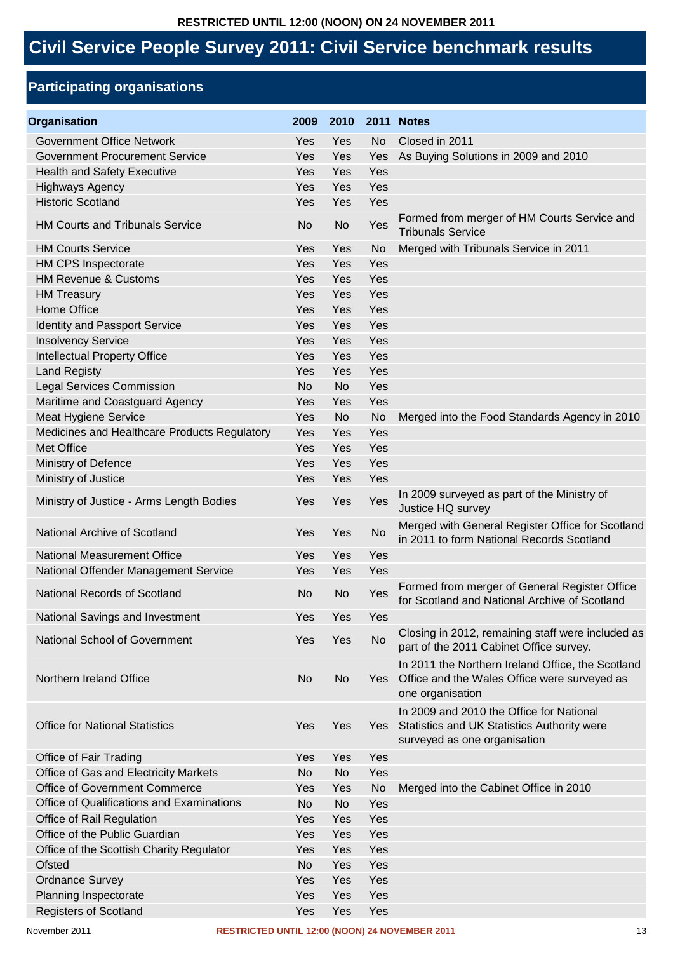### **Participating organisations**

| Organisation                                 | 2009      | 2010      |           | 2011 Notes                                                                                                              |
|----------------------------------------------|-----------|-----------|-----------|-------------------------------------------------------------------------------------------------------------------------|
| <b>Government Office Network</b>             | Yes       | Yes       | <b>No</b> | Closed in 2011                                                                                                          |
| <b>Government Procurement Service</b>        | Yes       | Yes       | Yes       | As Buying Solutions in 2009 and 2010                                                                                    |
| <b>Health and Safety Executive</b>           | Yes       | Yes       | Yes       |                                                                                                                         |
| <b>Highways Agency</b>                       | Yes       | Yes       | Yes       |                                                                                                                         |
| <b>Historic Scotland</b>                     | Yes       | Yes       | Yes       |                                                                                                                         |
| <b>HM Courts and Tribunals Service</b>       | No        | No        | Yes       | Formed from merger of HM Courts Service and<br><b>Tribunals Service</b>                                                 |
| <b>HM Courts Service</b>                     | Yes       | Yes       | No        | Merged with Tribunals Service in 2011                                                                                   |
| <b>HM CPS Inspectorate</b>                   | Yes       | Yes       | Yes       |                                                                                                                         |
| <b>HM Revenue &amp; Customs</b>              | Yes       | Yes       | Yes       |                                                                                                                         |
| <b>HM Treasury</b>                           | Yes       | Yes       | Yes       |                                                                                                                         |
| Home Office                                  | Yes       | Yes       | Yes       |                                                                                                                         |
| Identity and Passport Service                | Yes       | Yes       | Yes       |                                                                                                                         |
| <b>Insolvency Service</b>                    | Yes       | Yes       | Yes       |                                                                                                                         |
| <b>Intellectual Property Office</b>          | Yes       | Yes       | Yes       |                                                                                                                         |
| <b>Land Registy</b>                          | Yes       | Yes       | Yes       |                                                                                                                         |
| <b>Legal Services Commission</b>             | <b>No</b> | <b>No</b> | Yes       |                                                                                                                         |
| Maritime and Coastguard Agency               | Yes       | Yes       | Yes       |                                                                                                                         |
| Meat Hygiene Service                         | Yes       | <b>No</b> | <b>No</b> | Merged into the Food Standards Agency in 2010                                                                           |
| Medicines and Healthcare Products Regulatory | Yes       | Yes       | Yes       |                                                                                                                         |
| Met Office                                   | Yes       | Yes       | Yes       |                                                                                                                         |
| Ministry of Defence                          | Yes       | Yes       | Yes       |                                                                                                                         |
| Ministry of Justice                          | Yes       | Yes       | Yes       |                                                                                                                         |
| Ministry of Justice - Arms Length Bodies     | Yes       | Yes       | Yes       | In 2009 surveyed as part of the Ministry of<br>Justice HQ survey                                                        |
| National Archive of Scotland                 | Yes       | Yes       | No        | Merged with General Register Office for Scotland<br>in 2011 to form National Records Scotland                           |
| <b>National Measurement Office</b>           | Yes       | Yes       | Yes       |                                                                                                                         |
| National Offender Management Service         | Yes       | Yes       | Yes       |                                                                                                                         |
| National Records of Scotland                 | No        | No        | Yes       | Formed from merger of General Register Office<br>for Scotland and National Archive of Scotland                          |
| National Savings and Investment              | Yes       | Yes       | Yes       |                                                                                                                         |
| National School of Government                | Yes       | Yes       | <b>No</b> | Closing in 2012, remaining staff were included as<br>part of the 2011 Cabinet Office survey.                            |
| Northern Ireland Office                      | <b>No</b> | <b>No</b> | Yes       | In 2011 the Northern Ireland Office, the Scotland<br>Office and the Wales Office were surveyed as<br>one organisation   |
| <b>Office for National Statistics</b>        | Yes       | Yes       | Yes       | In 2009 and 2010 the Office for National<br>Statistics and UK Statistics Authority were<br>surveyed as one organisation |
| Office of Fair Trading                       | Yes       | Yes       | Yes       |                                                                                                                         |
| Office of Gas and Electricity Markets        | <b>No</b> | <b>No</b> | Yes       |                                                                                                                         |
| Office of Government Commerce                | Yes       | Yes       | No        | Merged into the Cabinet Office in 2010                                                                                  |
| Office of Qualifications and Examinations    | <b>No</b> | <b>No</b> | Yes       |                                                                                                                         |
| Office of Rail Regulation                    | Yes       | Yes       | Yes       |                                                                                                                         |
| Office of the Public Guardian                | Yes       | Yes       | Yes       |                                                                                                                         |
| Office of the Scottish Charity Regulator     | Yes       | Yes       | Yes       |                                                                                                                         |
| Ofsted                                       | <b>No</b> | Yes       | Yes       |                                                                                                                         |
| <b>Ordnance Survey</b>                       | Yes       | Yes       | Yes       |                                                                                                                         |
| Planning Inspectorate                        | Yes       | Yes       | Yes       |                                                                                                                         |
| <b>Registers of Scotland</b>                 | Yes       | Yes       | Yes       |                                                                                                                         |